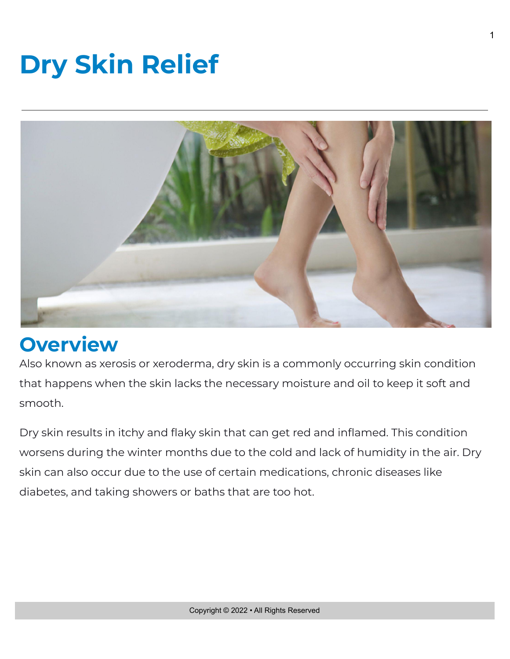## **Dry Skin Relief**



## **Overview**

Also known as xerosis or xeroderma, dry skin is a commonly occurring skin condition that happens when the skin lacks the necessary moisture and oil to keep it soft and smooth.

Dry skin results in itchy and flaky skin that can get red and inflamed. This condition worsens during the winter months due to the cold and lack of humidity in the air. Dry skin can also occur due to the use of certain medications, chronic diseases like diabetes, and taking showers or baths that are too hot.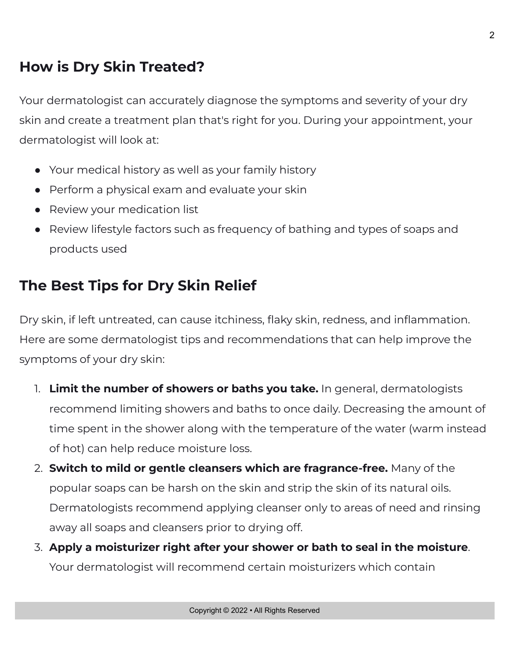## **How is Dry Skin Treated?**

Your dermatologist can accurately diagnose the symptoms and severity of your dry skin and create a treatment plan that's right for you. During your appointment, your dermatologist will look at:

- Your medical history as well as your family history
- Perform a physical exam and evaluate your skin
- Review your medication list
- Review lifestyle factors such as frequency of bathing and types of soaps and products used

## **The Best Tips for Dry Skin Relief**

Dry skin, if left untreated, can cause itchiness, flaky skin, redness, and inflammation. Here are some dermatologist tips and recommendations that can help improve the symptoms of your dry skin:

- 1. **Limit the number of showers or baths you take.** In general, dermatologists recommend limiting showers and baths to once daily. Decreasing the amount of time spent in the shower along with the temperature of the water (warm instead of hot) can help reduce moisture loss.
- 2. **Switch to mild or gentle cleansers which are fragrance-free.** Many of the popular soaps can be harsh on the skin and strip the skin of its natural oils. Dermatologists recommend applying cleanser only to areas of need and rinsing away all soaps and cleansers prior to drying off.
- 3. **Apply a moisturizer right after your shower or bath to seal in the moisture**. Your dermatologist will recommend certain moisturizers which contain